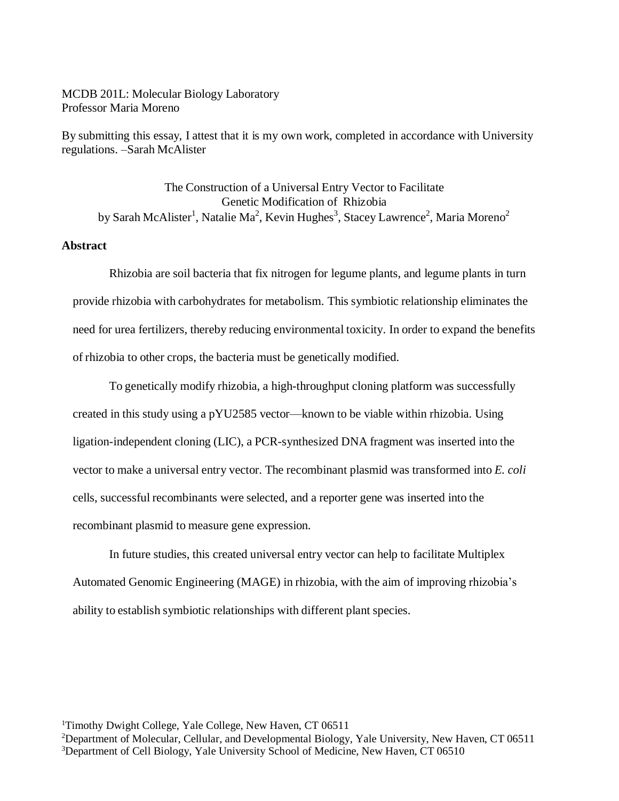# MCDB 201L: Molecular Biology Laboratory Professor Maria Moreno

By submitting this essay, I attest that it is my own work, completed in accordance with University regulations. –Sarah McAlister

The Construction of a Universal Entry Vector to Facilitate Genetic Modification of Rhizobia by Sarah McAlister<sup>1</sup>, Natalie Ma<sup>2</sup>, Kevin Hughes<sup>3</sup>, Stacey Lawrence<sup>2</sup>, Maria Moreno<sup>2</sup>

# **Abstract**

Rhizobia are soil bacteria that fix nitrogen for legume plants, and legume plants in turn provide rhizobia with carbohydrates for metabolism. This symbiotic relationship eliminates the need for urea fertilizers, thereby reducing environmental toxicity. In order to expand the benefits of rhizobia to other crops, the bacteria must be genetically modified.

To genetically modify rhizobia, a high-throughput cloning platform was successfully created in this study using a pYU2585 vector—known to be viable within rhizobia. Using ligation-independent cloning (LIC), a PCR-synthesized DNA fragment was inserted into the vector to make a universal entry vector. The recombinant plasmid was transformed into *E. coli* cells, successful recombinants were selected, and a reporter gene was inserted into the recombinant plasmid to measure gene expression.

In future studies, this created universal entry vector can help to facilitate Multiplex Automated Genomic Engineering (MAGE) in rhizobia, with the aim of improving rhizobia's ability to establish symbiotic relationships with different plant species.

<sup>1</sup>Timothy Dwight College, Yale College, New Haven, CT 06511

<sup>2</sup>Department of Molecular, Cellular, and Developmental Biology, Yale University, New Haven, CT 06511 <sup>3</sup>Department of Cell Biology, Yale University School of Medicine, New Haven, CT 06510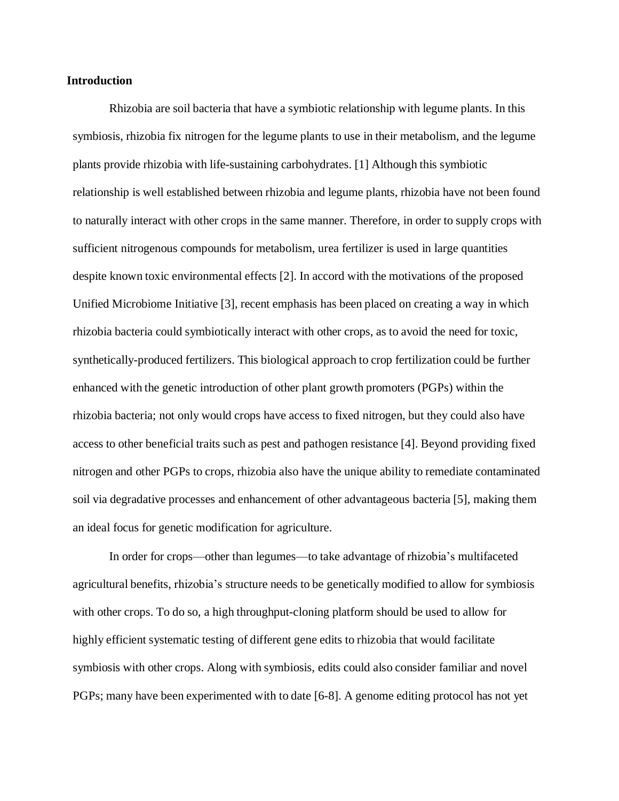#### **Introduction**

Rhizobia are soil bacteria that have a symbiotic relationship with legume plants. In this symbiosis, rhizobia fix nitrogen for the legume plants to use in their metabolism, and the legume plants provide rhizobia with life-sustaining carbohydrates. [1] Although this symbiotic relationship is well established between rhizobia and legume plants, rhizobia have not been found to naturally interact with other crops in the same manner. Therefore, in order to supply crops with sufficient nitrogenous compounds for metabolism, urea fertilizer is used in large quantities despite known toxic environmental effects [2]. In accord with the motivations of the proposed Unified Microbiome Initiative [3], recent emphasis has been placed on creating a way in which rhizobia bacteria could symbiotically interact with other crops, as to avoid the need for toxic, synthetically-produced fertilizers. This biological approach to crop fertilization could be further enhanced with the genetic introduction of other plant growth promoters (PGPs) within the rhizobia bacteria; not only would crops have access to fixed nitrogen, but they could also have access to other beneficial traits such as pest and pathogen resistance [4]. Beyond providing fixed nitrogen and other PGPs to crops, rhizobia also have the unique ability to remediate contaminated soil via degradative processes and enhancement of other advantageous bacteria [5], making them an ideal focus for genetic modification for agriculture.

In order for crops—other than legumes—to take advantage of rhizobia's multifaceted agricultural benefits, rhizobia's structure needs to be genetically modified to allow for symbiosis with other crops. To do so, a high throughput-cloning platform should be used to allow for highly efficient systematic testing of different gene edits to rhizobia that would facilitate symbiosis with other crops. Along with symbiosis, edits could also consider familiar and novel PGPs; many have been experimented with to date [6-8]. A genome editing protocol has not yet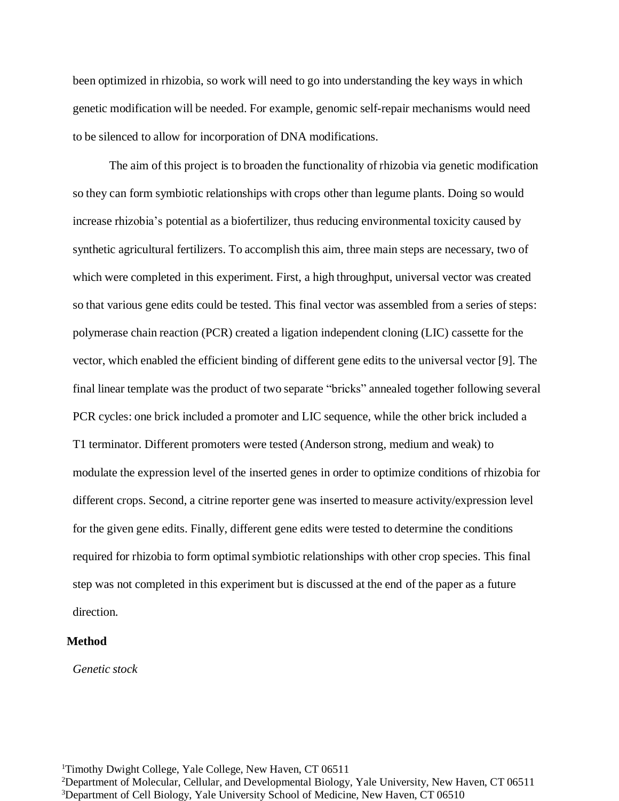been optimized in rhizobia, so work will need to go into understanding the key ways in which genetic modification will be needed. For example, genomic self-repair mechanisms would need to be silenced to allow for incorporation of DNA modifications.

The aim of this project is to broaden the functionality of rhizobia via genetic modification so they can form symbiotic relationships with crops other than legume plants. Doing so would increase rhizobia's potential as a biofertilizer, thus reducing environmental toxicity caused by synthetic agricultural fertilizers. To accomplish this aim, three main steps are necessary, two of which were completed in this experiment. First, a high throughput, universal vector was created so that various gene edits could be tested. This final vector was assembled from a series of steps: polymerase chain reaction (PCR) created a ligation independent cloning (LIC) cassette for the vector, which enabled the efficient binding of different gene edits to the universal vector [9]. The final linear template was the product of two separate "bricks" annealed together following several PCR cycles: one brick included a promoter and LIC sequence, while the other brick included a T1 terminator. Different promoters were tested (Anderson strong, medium and weak) to modulate the expression level of the inserted genes in order to optimize conditions of rhizobia for different crops. Second, a citrine reporter gene was inserted to measure activity/expression level for the given gene edits. Finally, different gene edits were tested to determine the conditions required for rhizobia to form optimal symbiotic relationships with other crop species. This final step was not completed in this experiment but is discussed at the end of the paper as a future direction.

#### **Method**

*Genetic stock*

<sup>1</sup>Timothy Dwight College, Yale College, New Haven, CT 06511 <sup>2</sup>Department of Molecular, Cellular, and Developmental Biology, Yale University, New Haven, CT 06511 <sup>3</sup>Department of Cell Biology, Yale University School of Medicine, New Haven, CT 06510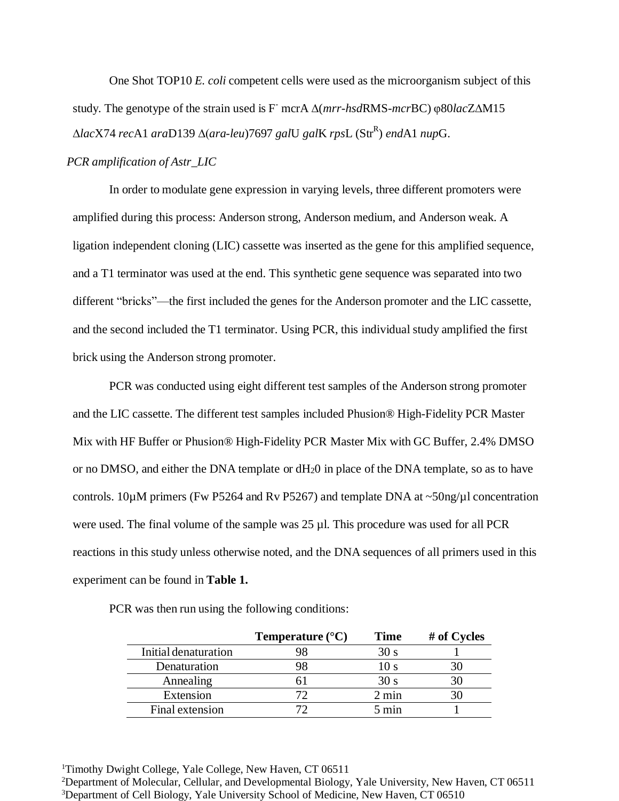One Shot TOP10 *E. coli* competent cells were used as the microorganism subject of this study. The genotype of the strain used is F - mcrA ∆(*mrr-hsd*RMS-*mcr*BC) φ80*lac*Z∆M15 ∆*lac*X74 *rec*A1 *ara*D139 ∆(*ara-leu*)7697 *gal*U *gal*K *rps*L (Str<sup>R</sup> ) *end*A1 *nup*G.

### *PCR amplification of Astr\_LIC*

In order to modulate gene expression in varying levels, three different promoters were amplified during this process: Anderson strong, Anderson medium, and Anderson weak. A ligation independent cloning (LIC) cassette was inserted as the gene for this amplified sequence, and a T1 terminator was used at the end. This synthetic gene sequence was separated into two different "bricks"—the first included the genes for the Anderson promoter and the LIC cassette, and the second included the T1 terminator. Using PCR, this individual study amplified the first brick using the Anderson strong promoter.

PCR was conducted using eight different test samples of the Anderson strong promoter and the LIC cassette. The different test samples included Phusion® High-Fidelity PCR Master Mix with HF Buffer or Phusion® High-Fidelity PCR Master Mix with GC Buffer, 2.4% DMSO or no DMSO, and either the DNA template or dH20 in place of the DNA template, so as to have controls. 10µM primers (Fw P5264 and Rv P5267) and template DNA at ~50ng/µl concentration were used. The final volume of the sample was 25 µl. This procedure was used for all PCR reactions in this study unless otherwise noted, and the DNA sequences of all primers used in this experiment can be found in **Table 1.**

|                      | Temperature $(^{\circ}C)$ | <b>Time</b>     | # of Cycles |
|----------------------|---------------------------|-----------------|-------------|
| Initial denaturation |                           | 30 s            |             |
| Denaturation         |                           | 10 s            |             |
| Annealing            |                           | 30 s            |             |
| Extension            |                           | $2 \text{ min}$ |             |
| Final extension      |                           | 5 min           |             |

PCR was then run using the following conditions:

<sup>1</sup>Timothy Dwight College, Yale College, New Haven, CT 06511 <sup>2</sup>Department of Molecular, Cellular, and Developmental Biology, Yale University, New Haven, CT 06511

<sup>&</sup>lt;sup>3</sup>Department of Cell Biology, Yale University School of Medicine, New Haven, CT 06510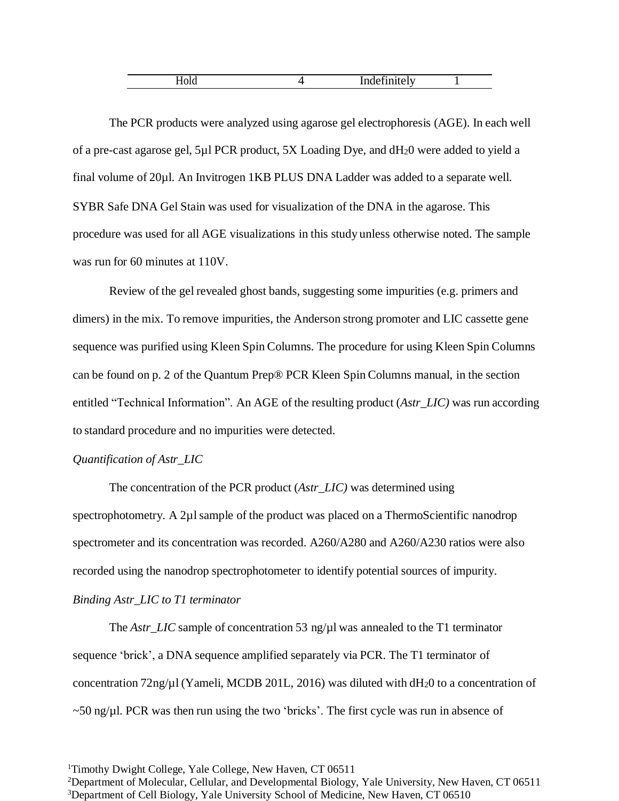| $-$<br>---<br>----<br>-----<br>________ |  |  |
|-----------------------------------------|--|--|
|                                         |  |  |

The PCR products were analyzed using agarose gel electrophoresis (AGE). In each well of a pre-cast agarose gel, 5µl PCR product, 5X Loading Dye, and dH20 were added to yield a final volume of 20µl. An Invitrogen 1KB PLUS DNA Ladder was added to a separate well. SYBR Safe DNA Gel Stain was used for visualization of the DNA in the agarose. This procedure was used for all AGE visualizations in this study unless otherwise noted. The sample was run for 60 minutes at 110V.

Review of the gel revealed ghost bands, suggesting some impurities (e.g. primers and dimers) in the mix. To remove impurities, the Anderson strong promoter and LIC cassette gene sequence was purified using Kleen Spin Columns. The procedure for using Kleen Spin Columns can be found on p. 2 of the Quantum Prep® PCR Kleen Spin Columns manual, in the section entitled "Technical Information". An AGE of the resulting product (*Astr\_LIC)* was run according to standard procedure and no impurities were detected.

## *Quantification of Astr\_LIC*

The concentration of the PCR product (*Astr\_LIC)* was determined using spectrophotometry. A 2µl sample of the product was placed on a ThermoScientific nanodrop spectrometer and its concentration was recorded. A260/A280 and A260/A230 ratios were also recorded using the nanodrop spectrophotometer to identify potential sources of impurity. *Binding Astr\_LIC to T1 terminator*

The *Astr\_LIC* sample of concentration 53 ng/ $\mu$ l was annealed to the T1 terminator sequence 'brick', a DNA sequence amplified separately via PCR. The T1 terminator of concentration 72ng/ $\mu$ l (Yameli, MCDB 201L, 2016) was diluted with dH<sub>2</sub>0 to a concentration of  $\sim$  50 ng/ $\mu$ l. PCR was then run using the two 'bricks'. The first cycle was run in absence of

<sup>&</sup>lt;sup>1</sup>Timothy Dwight College, Yale College, New Haven, CT 06511

<sup>&</sup>lt;sup>2</sup>Department of Molecular, Cellular, and Developmental Biology, Yale University, New Haven, CT 06511 <sup>3</sup>Department of Cell Biology, Yale University School of Medicine, New Haven, CT 06510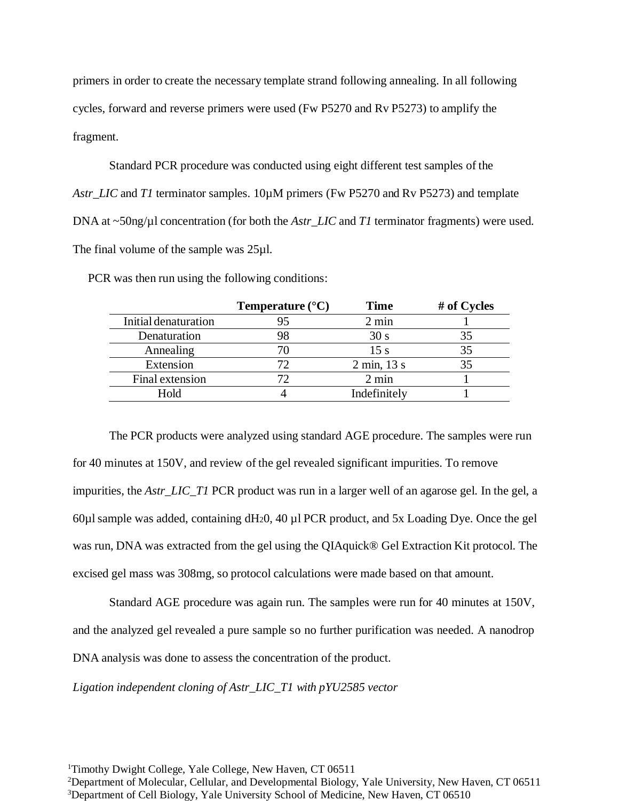primers in order to create the necessary template strand following annealing. In all following cycles, forward and reverse primers were used (Fw P5270 and Rv P5273) to amplify the fragment.

Standard PCR procedure was conducted using eight different test samples of the *Astr\_LIC* and *T1* terminator samples. 10µM primers (Fw P5270 and Rv P5273) and template DNA at ~50ng/ $\mu$ l concentration (for both the *Astr\_LIC* and *T1* terminator fragments) were used. The final volume of the sample was 25µl.

|                      | Temperature $(^{\circ}C)$ | <b>Time</b>     | # of Cycles |
|----------------------|---------------------------|-----------------|-------------|
| Initial denaturation |                           | $2 \text{ min}$ |             |
| Denaturation         | 98                        | 30 <sub>s</sub> |             |
| Annealing            |                           | 15 s            |             |
| Extension            | 77                        | 2 min, 13 s     | 35          |
| Final extension      |                           | $2 \text{ min}$ |             |
| Hold                 |                           | Indefinitely    |             |

PCR was then run using the following conditions:

The PCR products were analyzed using standard AGE procedure. The samples were run for 40 minutes at 150V, and review of the gel revealed significant impurities. To remove impurities, the *Astr\_LIC\_T1* PCR product was run in a larger well of an agarose gel. In the gel, a 60 $\mu$ l sample was added, containing dH<sub>2</sub>0, 40  $\mu$ l PCR product, and 5x Loading Dye. Once the gel was run, DNA was extracted from the gel using the QIAquick® Gel Extraction Kit protocol. The excised gel mass was 308mg, so protocol calculations were made based on that amount.

Standard AGE procedure was again run. The samples were run for 40 minutes at 150V, and the analyzed gel revealed a pure sample so no further purification was needed. A nanodrop DNA analysis was done to assess the concentration of the product.

*Ligation independent cloning of Astr\_LIC\_T1 with pYU2585 vector*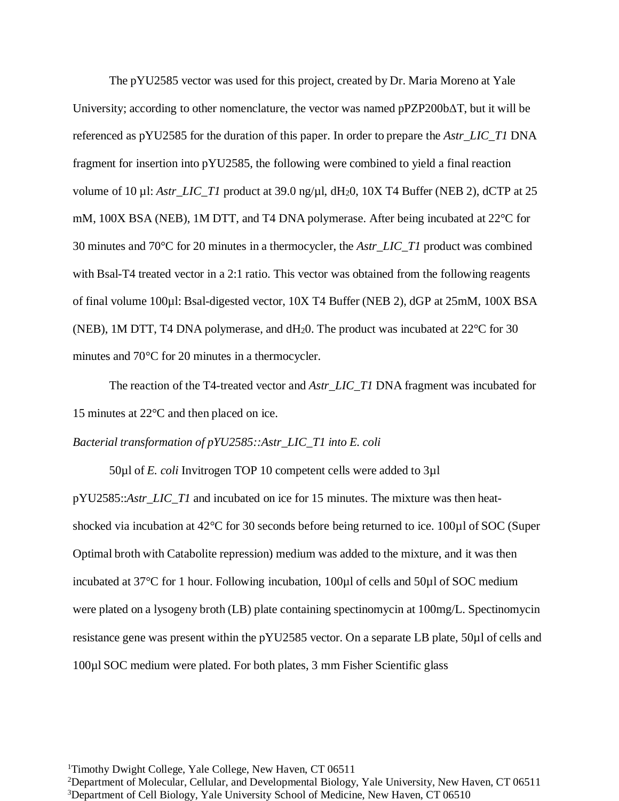The pYU2585 vector was used for this project, created by Dr. Maria Moreno at Yale University; according to other nomenclature, the vector was named pPZP200bΔT, but it will be referenced as pYU2585 for the duration of this paper. In order to prepare the *Astr\_LIC\_T1* DNA fragment for insertion into pYU2585, the following were combined to yield a final reaction volume of 10 µl: *Astr\_LIC\_T1* product at 39.0 ng/µl, dH<sub>2</sub>0, 10X T4 Buffer (NEB 2), dCTP at 25 mM, 100X BSA (NEB), 1M DTT, and T4 DNA polymerase. After being incubated at 22°C for 30 minutes and 70°C for 20 minutes in a thermocycler, the *Astr\_LIC\_T1* product was combined with Bsal-T4 treated vector in a 2:1 ratio. This vector was obtained from the following reagents of final volume 100µl: Bsal-digested vector, 10X T4 Buffer (NEB 2), dGP at 25mM, 100X BSA (NEB), 1M DTT, T4 DNA polymerase, and dH20. The product was incubated at 22°C for 30 minutes and 70°C for 20 minutes in a thermocycler.

The reaction of the T4-treated vector and *Astr\_LIC\_T1* DNA fragment was incubated for 15 minutes at 22°C and then placed on ice.

*Bacterial transformation of pYU2585::Astr\_LIC\_T1 into E. coli*

50µl of *E. coli* Invitrogen TOP 10 competent cells were added to 3µl pYU2585::*Astr\_LIC\_T1* and incubated on ice for 15 minutes. The mixture was then heatshocked via incubation at 42°C for 30 seconds before being returned to ice. 100µl of SOC (Super Optimal broth with Catabolite repression) medium was added to the mixture, and it was then incubated at 37°C for 1 hour. Following incubation, 100µl of cells and 50µl of SOC medium were plated on a lysogeny broth (LB) plate containing spectinomycin at 100mg/L. Spectinomycin resistance gene was present within the pYU2585 vector. On a separate LB plate, 50µl of cells and 100µl SOC medium were plated. For both plates, 3 mm Fisher Scientific glass

<sup>1</sup>Timothy Dwight College, Yale College, New Haven, CT 06511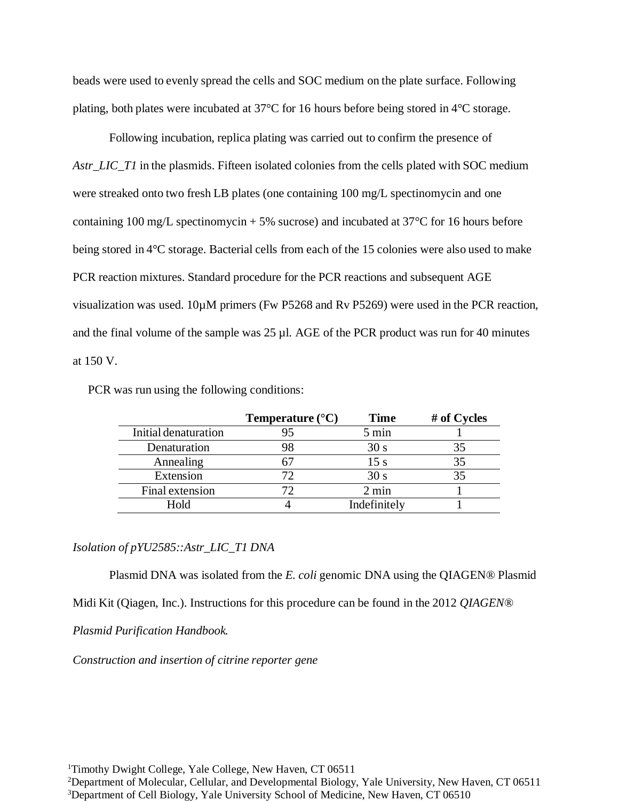beads were used to evenly spread the cells and SOC medium on the plate surface. Following plating, both plates were incubated at 37°C for 16 hours before being stored in 4°C storage.

Following incubation, replica plating was carried out to confirm the presence of *Astr\_LIC\_T1* in the plasmids. Fifteen isolated colonies from the cells plated with SOC medium were streaked onto two fresh LB plates (one containing 100 mg/L spectinomycin and one containing 100 mg/L spectinomycin + 5% sucrose) and incubated at  $37^{\circ}$ C for 16 hours before being stored in 4°C storage. Bacterial cells from each of the 15 colonies were also used to make PCR reaction mixtures. Standard procedure for the PCR reactions and subsequent AGE visualization was used. 10µM primers (Fw P5268 and Rv P5269) were used in the PCR reaction, and the final volume of the sample was 25 µl. AGE of the PCR product was run for 40 minutes at 150 V.

PCR was run using the following conditions:

|                      | Temperature $(^{\circ}C)$ | <b>Time</b>     | # of Cycles |
|----------------------|---------------------------|-----------------|-------------|
| Initial denaturation |                           | 5 min           |             |
| Denaturation         |                           | 30 s            |             |
| Annealing            |                           | 15 s            |             |
| Extension            |                           | 30 s            |             |
| Final extension      |                           | $2 \text{ min}$ |             |
| Hold                 |                           | Indefinitely    |             |

## *Isolation of pYU2585::Astr\_LIC\_T1 DNA*

Plasmid DNA was isolated from the *E. coli* genomic DNA using the QIAGEN® Plasmid Midi Kit (Qiagen, Inc.). Instructions for this procedure can be found in the 2012 *QIAGEN®*

*Plasmid Purification Handbook.*

*Construction and insertion of citrine reporter gene*

<sup>1</sup>Timothy Dwight College, Yale College, New Haven, CT 06511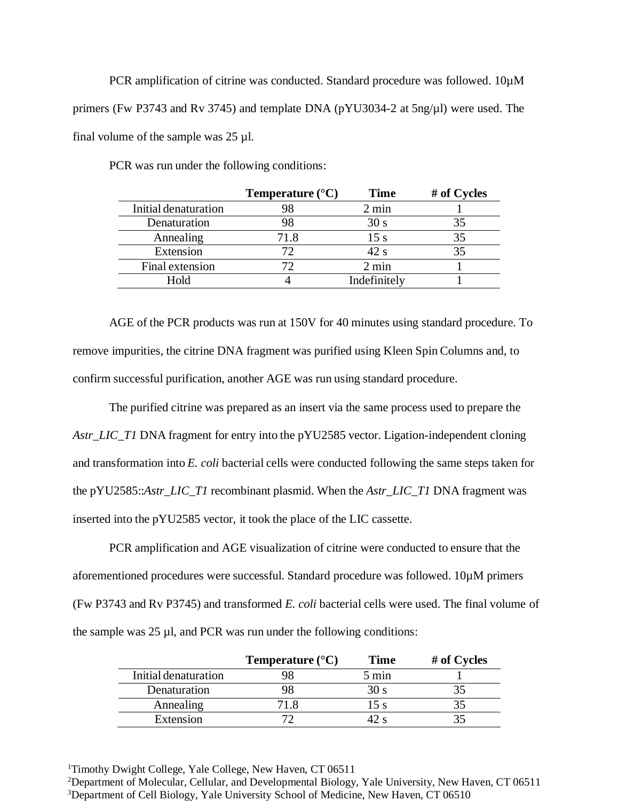PCR amplification of citrine was conducted. Standard procedure was followed. 10 $\mu$ M primers (Fw P3743 and Rv 3745) and template DNA (pYU3034-2 at 5ng/µl) were used. The final volume of the sample was  $25 \mu$ l.

PCR was run under the following conditions:

|                      | Temperature $(^{\circ}C)$ | <b>Time</b>     | # of Cycles |
|----------------------|---------------------------|-----------------|-------------|
| Initial denaturation |                           | $2 \text{ min}$ |             |
| Denaturation         |                           | 30 s            |             |
| Annealing            | 71.8                      | 15 s            |             |
| Extension            |                           | 42 s            |             |
| Final extension      |                           | $2 \text{ min}$ |             |
| Hold                 |                           | Indefinitely    |             |

AGE of the PCR products was run at 150V for 40 minutes using standard procedure. To remove impurities, the citrine DNA fragment was purified using Kleen Spin Columns and, to confirm successful purification, another AGE was run using standard procedure.

The purified citrine was prepared as an insert via the same process used to prepare the *Astr\_LIC\_T1* DNA fragment for entry into the pYU2585 vector. Ligation-independent cloning and transformation into *E. coli* bacterial cells were conducted following the same steps taken for the pYU2585::*Astr\_LIC\_T1* recombinant plasmid. When the *Astr\_LIC\_T1* DNA fragment was inserted into the pYU2585 vector, it took the place of the LIC cassette.

PCR amplification and AGE visualization of citrine were conducted to ensure that the aforementioned procedures were successful. Standard procedure was followed. 10µM primers (Fw P3743 and Rv P3745) and transformed *E. coli* bacterial cells were used. The final volume of the sample was  $25 \mu l$ , and PCR was run under the following conditions:

|                      | Temperature $({}^{\circ}C)$ | Time            | # of Cycles |
|----------------------|-----------------------------|-----------------|-------------|
| Initial denaturation |                             | $5 \text{ min}$ |             |
| Denaturation         |                             | 51 J.S          |             |
| Annealing            |                             |                 |             |
| Extension            |                             |                 |             |

<sup>1</sup>Timothy Dwight College, Yale College, New Haven, CT 06511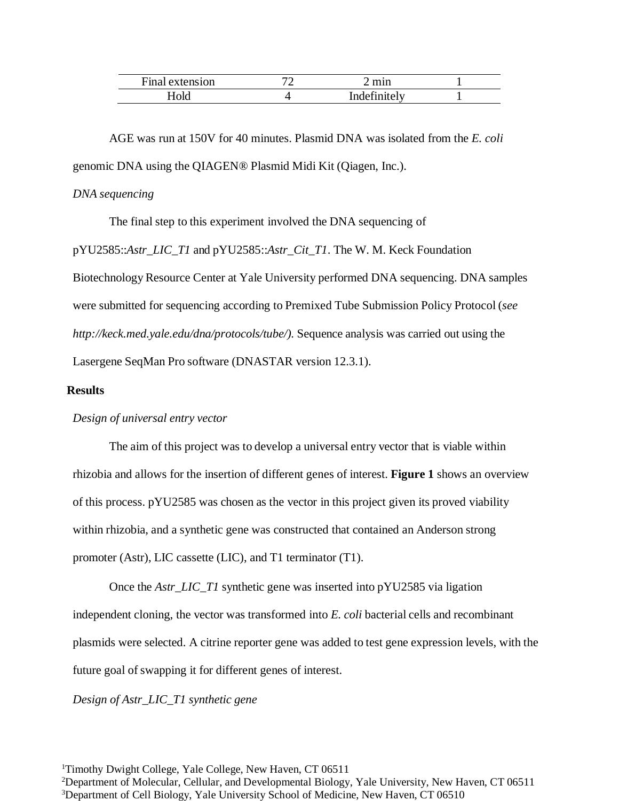| Final<br>extension | 70 | mnn                  |  |
|--------------------|----|----------------------|--|
| OIG                |    | Indefi $\,$<br>te Iv |  |

AGE was run at 150V for 40 minutes. Plasmid DNA was isolated from the *E. coli* genomic DNA using the QIAGEN® Plasmid Midi Kit (Qiagen, Inc.).

## *DNA sequencing*

The final step to this experiment involved the DNA sequencing of pYU2585::*Astr\_LIC\_T1* and pYU2585::*Astr\_Cit\_T1*. The W. M. Keck Foundation Biotechnology Resource Center at Yale University performed DNA sequencing. DNA samples were submitted for sequencing according to Premixed Tube Submission Policy Protocol (*se[e](http://keck.med.yale.edu/dna/protocols/tube/)) [http://keck.med.yale.edu/dna/protocols/tube/\).](http://keck.med.yale.edu/dna/protocols/tube/))* Sequence analysis was carried out using the Lasergene SeqMan Pro software (DNASTAR version 12.3.1).

# **Results**

## *Design of universal entry vector*

The aim of this project was to develop a universal entry vector that is viable within rhizobia and allows for the insertion of different genes of interest. **Figure 1** shows an overview of this process. pYU2585 was chosen as the vector in this project given its proved viability within rhizobia, and a synthetic gene was constructed that contained an Anderson strong promoter (Astr), LIC cassette (LIC), and T1 terminator (T1).

Once the *Astr\_LIC\_T1* synthetic gene was inserted into pYU2585 via ligation independent cloning, the vector was transformed into *E. coli* bacterial cells and recombinant plasmids were selected. A citrine reporter gene was added to test gene expression levels, with the future goal of swapping it for different genes of interest.

#### *Design of Astr\_LIC\_T1 synthetic gene*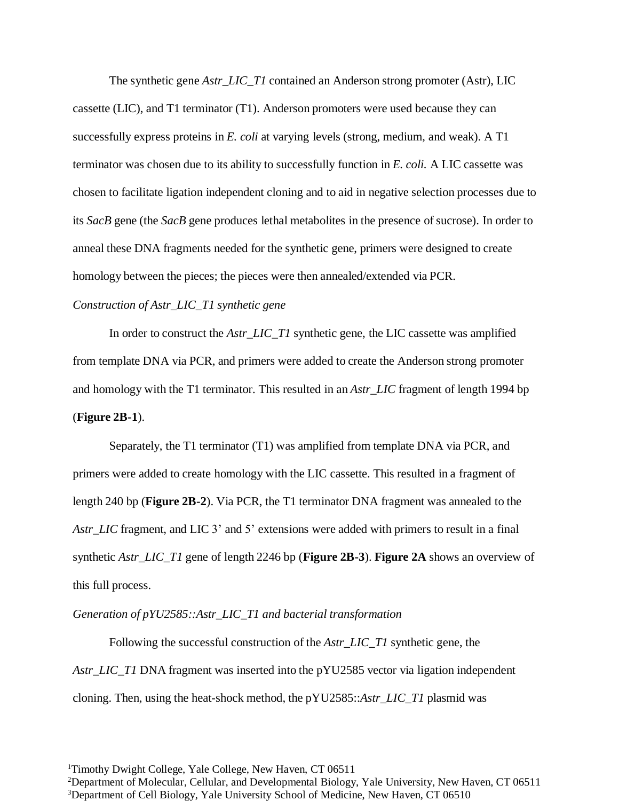The synthetic gene *Astr\_LIC\_T1* contained an Anderson strong promoter (Astr), LIC cassette (LIC), and T1 terminator (T1). Anderson promoters were used because they can successfully express proteins in *E. coli* at varying levels (strong, medium, and weak). A T1 terminator was chosen due to its ability to successfully function in *E. coli.* A LIC cassette was chosen to facilitate ligation independent cloning and to aid in negative selection processes due to its *SacB* gene (the *SacB* gene produces lethal metabolites in the presence of sucrose). In order to anneal these DNA fragments needed for the synthetic gene, primers were designed to create homology between the pieces; the pieces were then annealed/extended via PCR.

#### *Construction of Astr\_LIC\_T1 synthetic gene*

In order to construct the *Astr\_LIC\_T1* synthetic gene, the LIC cassette was amplified from template DNA via PCR, and primers were added to create the Anderson strong promoter and homology with the T1 terminator. This resulted in an *Astr\_LIC* fragment of length 1994 bp (**Figure 2B-1**).

Separately, the T1 terminator (T1) was amplified from template DNA via PCR, and primers were added to create homology with the LIC cassette. This resulted in a fragment of length 240 bp (**Figure 2B-2**). Via PCR, the T1 terminator DNA fragment was annealed to the Astr\_LIC fragment, and LIC 3' and 5' extensions were added with primers to result in a final synthetic *Astr\_LIC\_T1* gene of length 2246 bp (**Figure 2B-3**). **Figure 2A** shows an overview of this full process.

#### *Generation of pYU2585::Astr\_LIC\_T1 and bacterial transformation*

Following the successful construction of the *Astr\_LIC\_T1* synthetic gene, the *Astr\_LIC\_T1* DNA fragment was inserted into the pYU2585 vector via ligation independent cloning. Then, using the heat-shock method, the pYU2585::*Astr\_LIC\_T1* plasmid was

<sup>&</sup>lt;sup>1</sup>Timothy Dwight College, Yale College, New Haven, CT 06511

<sup>&</sup>lt;sup>2</sup>Department of Molecular, Cellular, and Developmental Biology, Yale University, New Haven, CT 06511 <sup>3</sup>Department of Cell Biology, Yale University School of Medicine, New Haven, CT 06510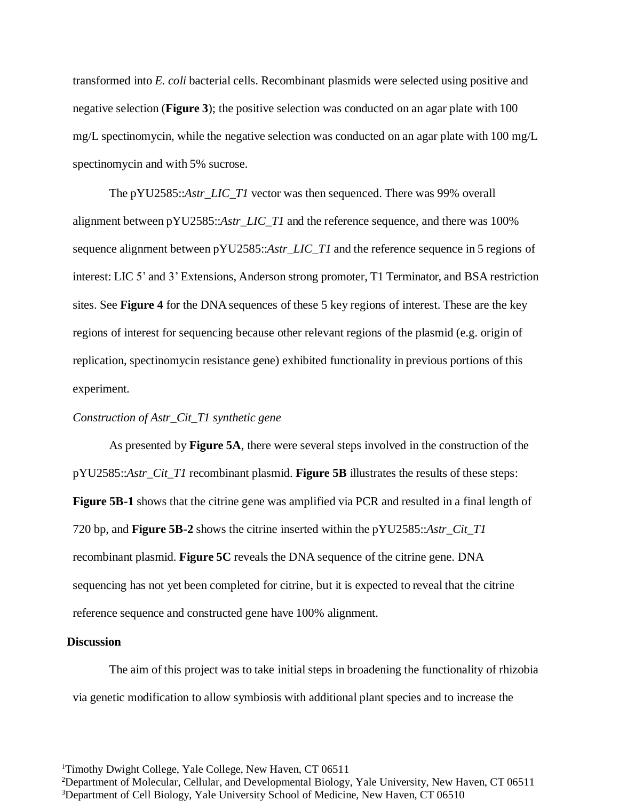transformed into *E. coli* bacterial cells. Recombinant plasmids were selected using positive and negative selection (**Figure 3**); the positive selection was conducted on an agar plate with 100 mg/L spectinomycin, while the negative selection was conducted on an agar plate with 100 mg/L spectinomycin and with 5% sucrose.

The pYU2585::*Astr\_LIC\_T1* vector was then sequenced. There was 99% overall alignment between pYU2585::*Astr\_LIC\_T1* and the reference sequence, and there was 100% sequence alignment between pYU2585::*Astr\_LIC\_T1* and the reference sequence in 5 regions of interest: LIC 5' and 3' Extensions, Anderson strong promoter, T1 Terminator, and BSA restriction sites. See **Figure 4** for the DNA sequences of these 5 key regions of interest. These are the key regions of interest for sequencing because other relevant regions of the plasmid (e.g. origin of replication, spectinomycin resistance gene) exhibited functionality in previous portions of this experiment.

#### *Construction of Astr\_Cit\_T1 synthetic gene*

As presented by **Figure 5A**, there were several steps involved in the construction of the pYU2585::*Astr\_Cit\_T1* recombinant plasmid. **Figure 5B** illustrates the results of these steps: **Figure 5B-1** shows that the citrine gene was amplified via PCR and resulted in a final length of 720 bp, and **Figure 5B-2** shows the citrine inserted within the pYU2585::*Astr\_Cit\_T1* recombinant plasmid. **Figure 5C** reveals the DNA sequence of the citrine gene. DNA sequencing has not yet been completed for citrine, but it is expected to reveal that the citrine reference sequence and constructed gene have 100% alignment.

## **Discussion**

The aim of this project was to take initial steps in broadening the functionality of rhizobia via genetic modification to allow symbiosis with additional plant species and to increase the

<sup>1</sup>Timothy Dwight College, Yale College, New Haven, CT 06511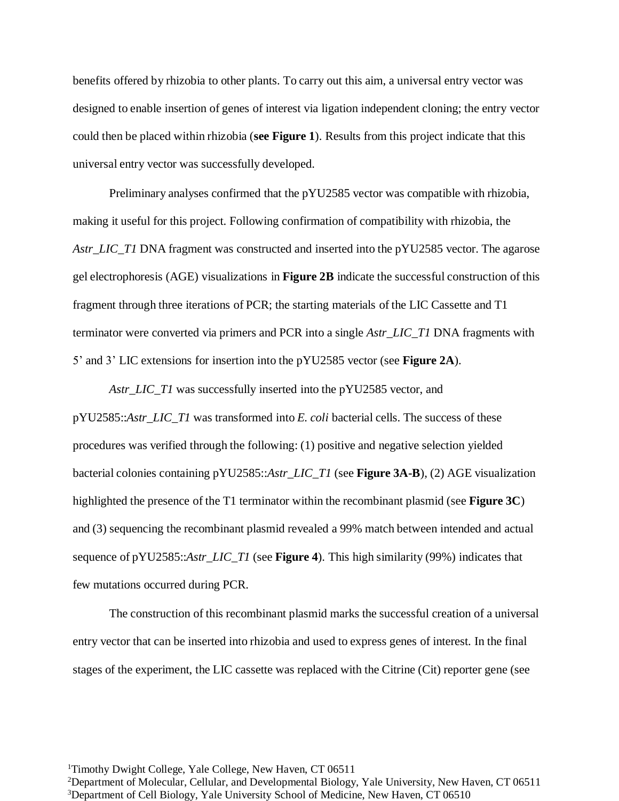benefits offered by rhizobia to other plants. To carry out this aim, a universal entry vector was designed to enable insertion of genes of interest via ligation independent cloning; the entry vector could then be placed within rhizobia (**see Figure 1**). Results from this project indicate that this universal entry vector was successfully developed.

Preliminary analyses confirmed that the pYU2585 vector was compatible with rhizobia, making it useful for this project. Following confirmation of compatibility with rhizobia, the *Astr\_LIC\_T1* DNA fragment was constructed and inserted into the pYU2585 vector. The agarose gel electrophoresis (AGE) visualizations in **Figure 2B** indicate the successful construction of this fragment through three iterations of PCR; the starting materials of the LIC Cassette and T1 terminator were converted via primers and PCR into a single *Astr\_LIC\_T1* DNA fragments with 5' and 3' LIC extensions for insertion into the pYU2585 vector (see **Figure 2A**).

*Astr\_LIC\_T1* was successfully inserted into the pYU2585 vector, and pYU2585::*Astr\_LIC\_T1* was transformed into *E. coli* bacterial cells. The success of these procedures was verified through the following: (1) positive and negative selection yielded bacterial colonies containing pYU2585::*Astr\_LIC\_T1* (see **Figure 3A-B**), (2) AGE visualization highlighted the presence of the T1 terminator within the recombinant plasmid (see **Figure 3C**) and (3) sequencing the recombinant plasmid revealed a 99% match between intended and actual sequence of pYU2585::*Astr\_LIC\_T1* (see **Figure 4**). This high similarity (99%) indicates that few mutations occurred during PCR.

The construction of this recombinant plasmid marks the successful creation of a universal entry vector that can be inserted into rhizobia and used to express genes of interest. In the final stages of the experiment, the LIC cassette was replaced with the Citrine (Cit) reporter gene (see

<sup>1</sup>Timothy Dwight College, Yale College, New Haven, CT 06511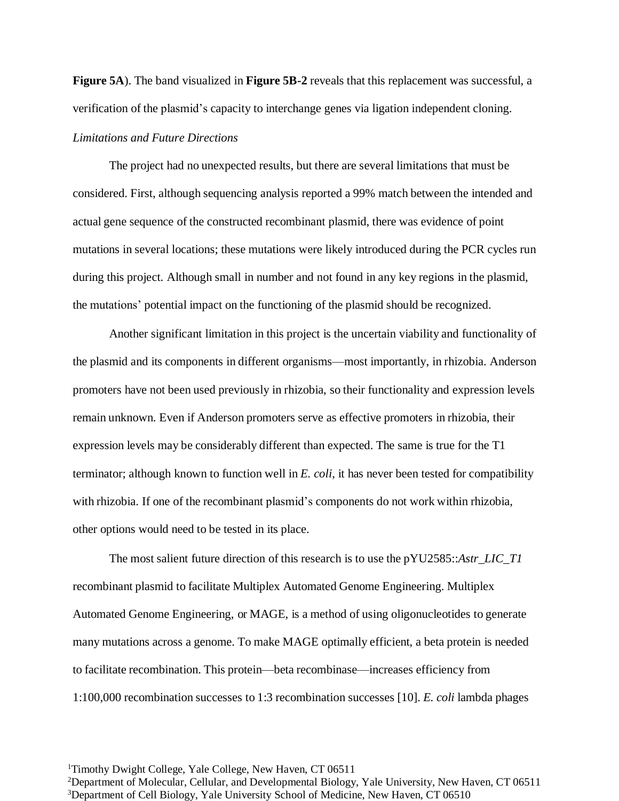**Figure 5A**). The band visualized in **Figure 5B-2** reveals that this replacement was successful, a verification of the plasmid's capacity to interchange genes via ligation independent cloning.

## *Limitations and Future Directions*

The project had no unexpected results, but there are several limitations that must be considered. First, although sequencing analysis reported a 99% match between the intended and actual gene sequence of the constructed recombinant plasmid, there was evidence of point mutations in several locations; these mutations were likely introduced during the PCR cycles run during this project. Although small in number and not found in any key regions in the plasmid, the mutations' potential impact on the functioning of the plasmid should be recognized.

Another significant limitation in this project is the uncertain viability and functionality of the plasmid and its components in different organisms—most importantly, in rhizobia. Anderson promoters have not been used previously in rhizobia, so their functionality and expression levels remain unknown. Even if Anderson promoters serve as effective promoters in rhizobia, their expression levels may be considerably different than expected. The same is true for the T1 terminator; although known to function well in *E. coli*, it has never been tested for compatibility with rhizobia. If one of the recombinant plasmid's components do not work within rhizobia, other options would need to be tested in its place.

The most salient future direction of this research is to use the pYU2585::*Astr\_LIC\_T1* recombinant plasmid to facilitate Multiplex Automated Genome Engineering. Multiplex Automated Genome Engineering, or MAGE, is a method of using oligonucleotides to generate many mutations across a genome. To make MAGE optimally efficient, a beta protein is needed to facilitate recombination. This protein—beta recombinase—increases efficiency from 1:100,000 recombination successes to 1:3 recombination successes [10]. *E. coli* lambda phages

<sup>1</sup>Timothy Dwight College, Yale College, New Haven, CT 06511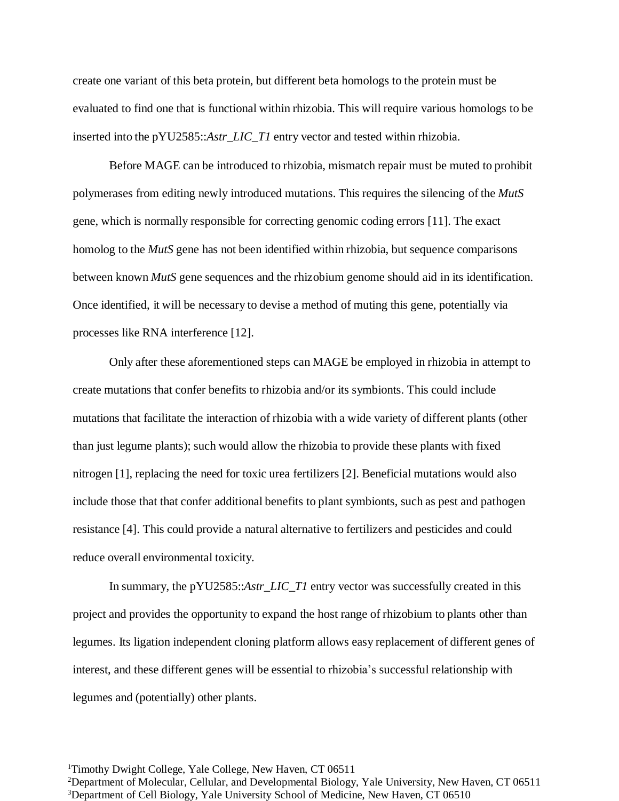create one variant of this beta protein, but different beta homologs to the protein must be evaluated to find one that is functional within rhizobia. This will require various homologs to be inserted into the pYU2585::*Astr\_LIC\_T1* entry vector and tested within rhizobia.

Before MAGE can be introduced to rhizobia, mismatch repair must be muted to prohibit polymerases from editing newly introduced mutations. This requires the silencing of the *MutS* gene, which is normally responsible for correcting genomic coding errors [11]. The exact homolog to the *MutS* gene has not been identified within rhizobia, but sequence comparisons between known *MutS* gene sequences and the rhizobium genome should aid in its identification. Once identified, it will be necessary to devise a method of muting this gene, potentially via processes like RNA interference [12].

Only after these aforementioned steps can MAGE be employed in rhizobia in attempt to create mutations that confer benefits to rhizobia and/or its symbionts. This could include mutations that facilitate the interaction of rhizobia with a wide variety of different plants (other than just legume plants); such would allow the rhizobia to provide these plants with fixed nitrogen [1], replacing the need for toxic urea fertilizers [2]. Beneficial mutations would also include those that that confer additional benefits to plant symbionts, such as pest and pathogen resistance [4]. This could provide a natural alternative to fertilizers and pesticides and could reduce overall environmental toxicity.

In summary, the pYU2585::*Astr\_LIC\_T1* entry vector was successfully created in this project and provides the opportunity to expand the host range of rhizobium to plants other than legumes. Its ligation independent cloning platform allows easy replacement of different genes of interest, and these different genes will be essential to rhizobia's successful relationship with legumes and (potentially) other plants.

<sup>1</sup>Timothy Dwight College, Yale College, New Haven, CT 06511 <sup>2</sup>Department of Molecular, Cellular, and Developmental Biology, Yale University, New Haven, CT 06511 <sup>3</sup>Department of Cell Biology, Yale University School of Medicine, New Haven, CT 06510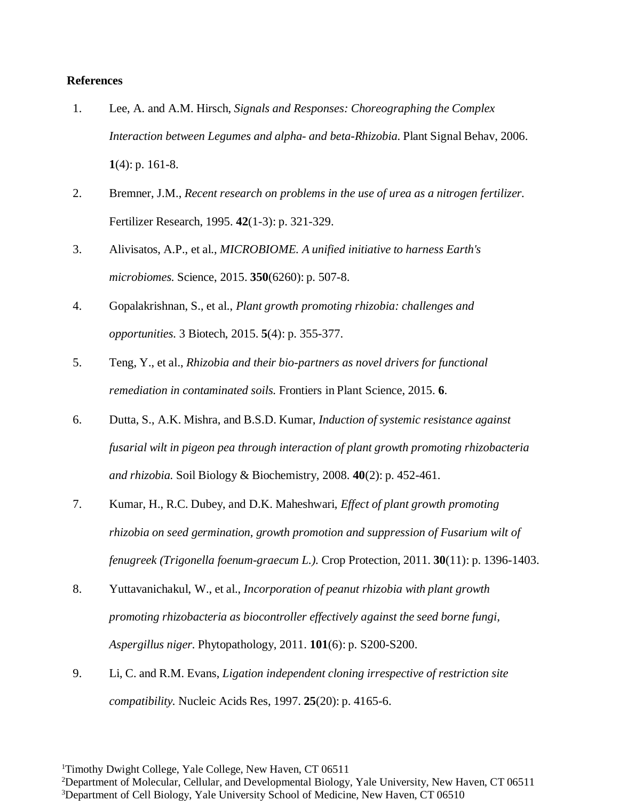## **References**

- 1. Lee, A. and A.M. Hirsch, *Signals and Responses: Choreographing the Complex Interaction between Legumes and alpha- and beta-Rhizobia.* Plant Signal Behav, 2006. **1**(4): p. 161-8.
- 2. Bremner, J.M., *Recent research on problems in the use of urea as a nitrogen fertilizer.* Fertilizer Research, 1995. **42**(1-3): p. 321-329.
- 3. Alivisatos, A.P., et al., *MICROBIOME. A unified initiative to harness Earth's microbiomes.* Science, 2015. **350**(6260): p. 507-8.
- 4. Gopalakrishnan, S., et al., *Plant growth promoting rhizobia: challenges and opportunities.* 3 Biotech, 2015. **5**(4): p. 355-377.
- 5. Teng, Y., et al., *Rhizobia and their bio-partners as novel drivers for functional remediation in contaminated soils.* Frontiers in Plant Science, 2015. **6**.
- 6. Dutta, S., A.K. Mishra, and B.S.D. Kumar, *Induction of systemic resistance against fusarial wilt in pigeon pea through interaction of plant growth promoting rhizobacteria and rhizobia.* Soil Biology & Biochemistry, 2008. **40**(2): p. 452-461.
- 7. Kumar, H., R.C. Dubey, and D.K. Maheshwari, *Effect of plant growth promoting rhizobia on seed germination, growth promotion and suppression of Fusarium wilt of fenugreek (Trigonella foenum-graecum L.).* Crop Protection, 2011. **30**(11): p. 1396-1403.
- 8. Yuttavanichakul, W., et al., *Incorporation of peanut rhizobia with plant growth promoting rhizobacteria as biocontroller effectively against the seed borne fungi, Aspergillus niger.* Phytopathology, 2011. **101**(6): p. S200-S200.
- 9. Li, C. and R.M. Evans, *Ligation independent cloning irrespective of restriction site compatibility.* Nucleic Acids Res, 1997. **25**(20): p. 4165-6.

<sup>&</sup>lt;sup>1</sup>Timothy Dwight College, Yale College, New Haven, CT 06511

<sup>&</sup>lt;sup>2</sup>Department of Molecular, Cellular, and Developmental Biology, Yale University, New Haven, CT 06511 <sup>3</sup>Department of Cell Biology, Yale University School of Medicine, New Haven, CT 06510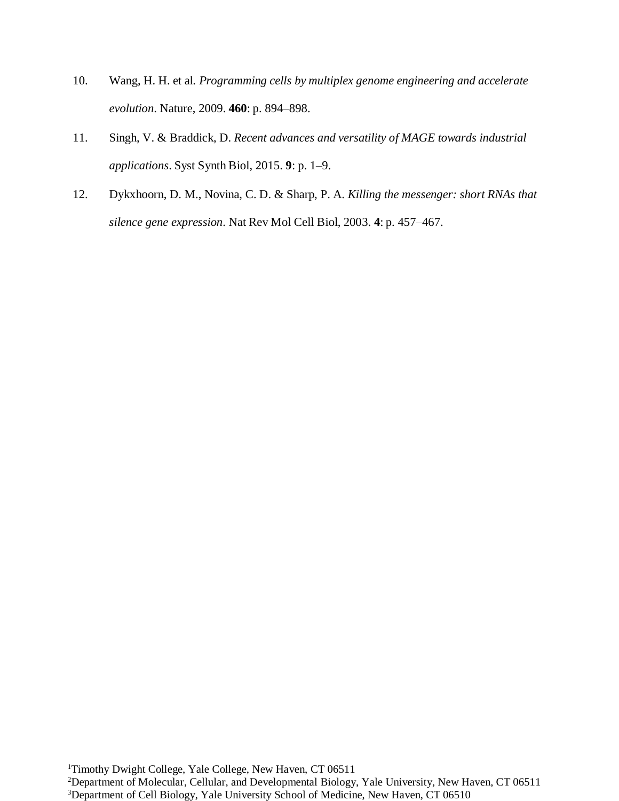- 10. Wang, H. H. et al. *Programming cells by multiplex genome engineering and accelerate evolution*. Nature, 2009. **460**: p. 894–898.
- 11. Singh, V. & Braddick, D. *Recent advances and versatility of MAGE towards industrial applications*. Syst Synth Biol, 2015. **9**: p. 1–9.
- 12. Dykxhoorn, D. M., Novina, C. D. & Sharp, P. A. *Killing the messenger: short RNAs that silence gene expression*. Nat Rev Mol Cell Biol, 2003. **4**: p. 457–467.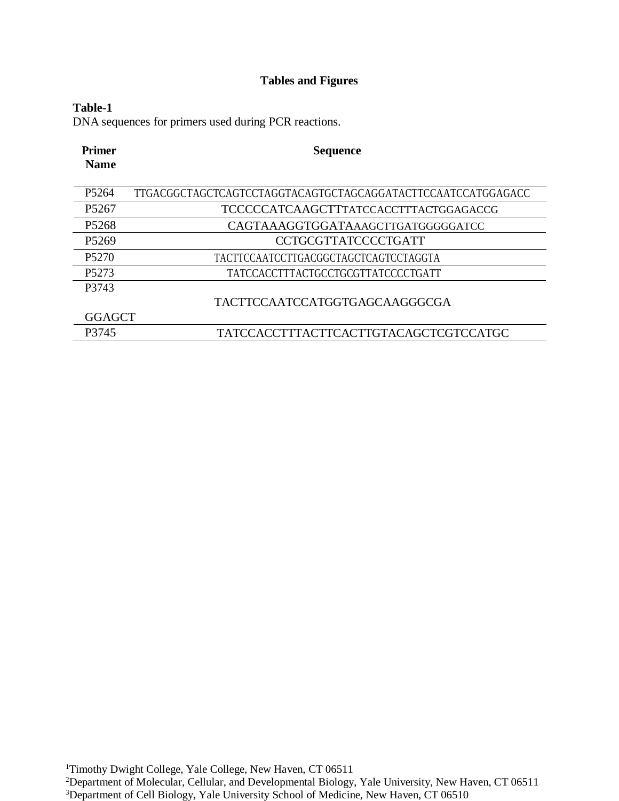# **Tables and Figures**

# **Table-1**

DNA sequences for primers used during PCR reactions.

| <b>Primer</b><br><b>Name</b> | <b>Sequence</b>                                              |
|------------------------------|--------------------------------------------------------------|
|                              |                                                              |
| P <sub>5264</sub>            | TTGACGGCTAGCTCAGTCCTAGGTACAGTGCTAGCAGGATACTTCCAATCCATGGAGACC |
| P <sub>5267</sub>            | TCCCCCATCAAGCTTTATCCACCTTTACTGGAGACCG                        |
| P <sub>5268</sub>            | CAGTAAAGGTGGATAAAGCTTGATGGGGGATCC                            |
| P <sub>5269</sub>            | CCTGCGTTATCCCCTGATT                                          |
| P <sub>5270</sub>            | TACTTCCAATCCTTGACGGCTAGCTCAGTCCTAGGTA                        |
| P <sub>5273</sub>            | TATCCACCTTTACTGCCTGCGTTATCCCCTGATT                           |
| P3743                        |                                                              |
|                              | TACTTCCAATCCATGGTGAGCAAGGGCGA                                |
| <b>GGAGCT</b>                |                                                              |
| P3745                        | TATCCACCTTTACTTCACTTGTACAGCTCGTCCATGC                        |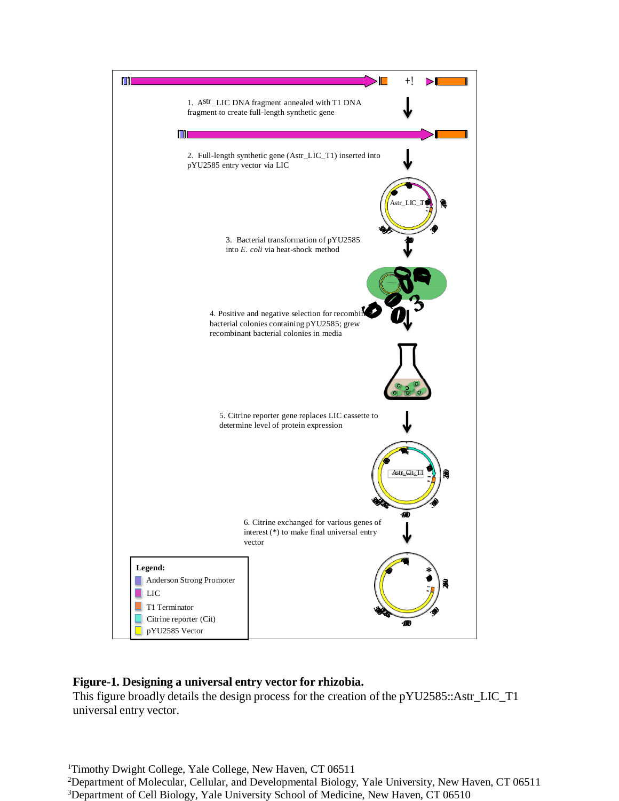

# **Figure-1. Designing a universal entry vector for rhizobia.**

This figure broadly details the design process for the creation of the pYU2585::Astr\_LIC\_T1 universal entry vector.

<sup>1</sup>Timothy Dwight College, Yale College, New Haven, CT 06511 <sup>2</sup>Department of Molecular, Cellular, and Developmental Biology, Yale University, New Haven, CT 06511 <sup>3</sup>Department of Cell Biology, Yale University School of Medicine, New Haven, CT 06510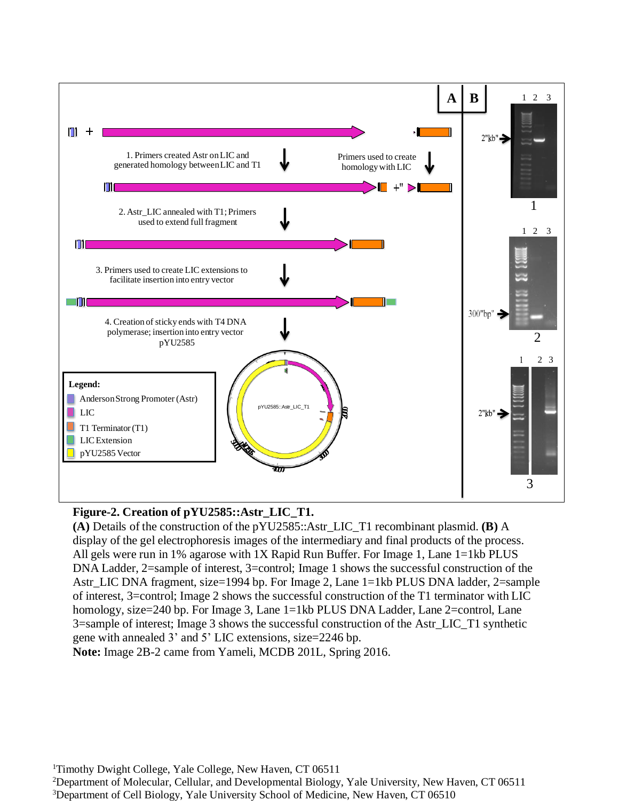

# **Figure-2. Creation of pYU2585::Astr\_LIC\_T1.**

**(A)** Details of the construction of the pYU2585::Astr\_LIC\_T1 recombinant plasmid. **(B)** A display of the gel electrophoresis images of the intermediary and final products of the process. All gels were run in 1% agarose with 1X Rapid Run Buffer. For Image 1, Lane 1=1kb PLUS DNA Ladder, 2=sample of interest, 3=control; Image 1 shows the successful construction of the Astr\_LIC DNA fragment, size=1994 bp. For Image 2, Lane 1=1kb PLUS DNA ladder, 2=sample of interest, 3=control; Image 2 shows the successful construction of the T1 terminator with LIC homology, size=240 bp. For Image 3, Lane 1=1kb PLUS DNA Ladder, Lane 2=control, Lane 3=sample of interest; Image 3 shows the successful construction of the Astr\_LIC\_T1 synthetic gene with annealed 3' and 5' LIC extensions, size=2246 bp.

**Note:** Image 2B-2 came from Yameli, MCDB 201L, Spring 2016.

<sup>1</sup>Timothy Dwight College, Yale College, New Haven, CT 06511

<sup>2</sup>Department of Molecular, Cellular, and Developmental Biology, Yale University, New Haven, CT 06511

<sup>3</sup>Department of Cell Biology, Yale University School of Medicine, New Haven, CT 06510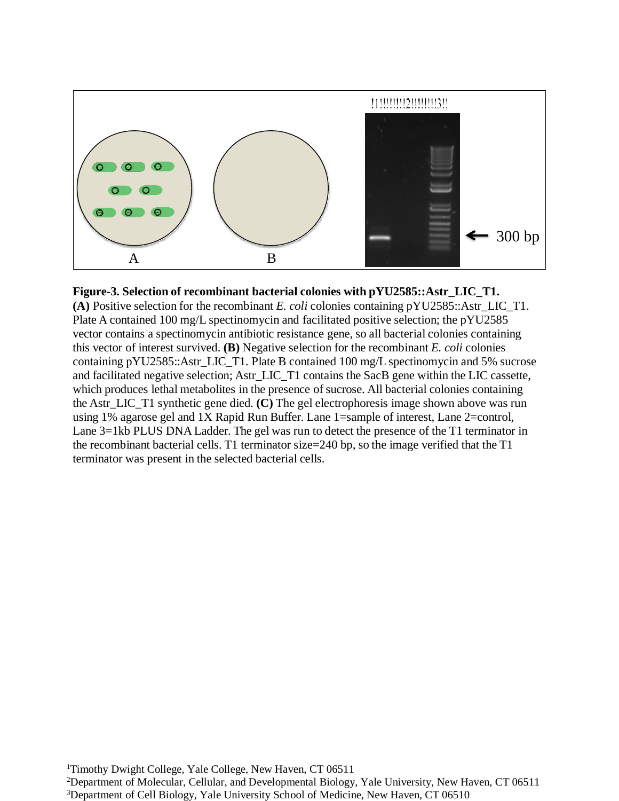

## **Figure-3. Selection of recombinant bacterial colonies with pYU2585::Astr\_LIC\_T1.**

**(A)** Positive selection for the recombinant *E. coli* colonies containing pYU2585::Astr\_LIC\_T1. Plate A contained 100 mg/L spectinomycin and facilitated positive selection; the pYU2585 vector contains a spectinomycin antibiotic resistance gene, so all bacterial colonies containing this vector of interest survived. **(B)** Negative selection for the recombinant *E. coli* colonies containing pYU2585::Astr\_LIC\_T1. Plate B contained 100 mg/L spectinomycin and 5% sucrose and facilitated negative selection; Astr\_LIC\_T1 contains the SacB gene within the LIC cassette, which produces lethal metabolites in the presence of sucrose. All bacterial colonies containing the Astr\_LIC\_T1 synthetic gene died. **(C)** The gel electrophoresis image shown above was run using 1% agarose gel and 1X Rapid Run Buffer. Lane 1=sample of interest, Lane 2=control, Lane 3=1kb PLUS DNA Ladder. The gel was run to detect the presence of the T1 terminator in the recombinant bacterial cells. T1 terminator size=240 bp, so the image verified that the T1 terminator was present in the selected bacterial cells.

<sup>&</sup>lt;sup>1</sup>Timothy Dwight College, Yale College, New Haven, CT 06511 <sup>2</sup>Department of Molecular, Cellular, and Developmental Biology, Yale University, New Haven, CT 06511 <sup>3</sup>Department of Cell Biology, Yale University School of Medicine, New Haven, CT 06510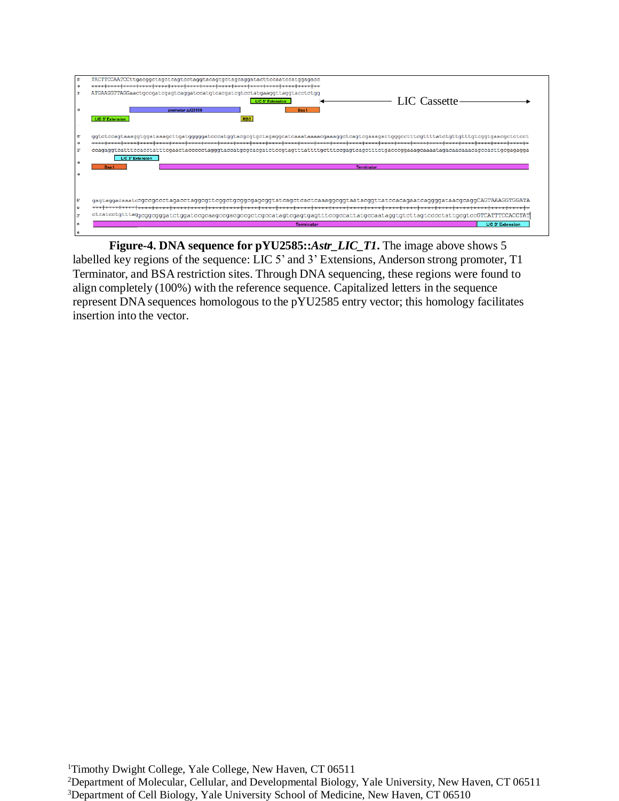

**Figure-4. DNA sequence for pYU2585::***Astr\_LIC\_T1***.** The image above shows 5 labelled key regions of the sequence: LIC 5' and 3' Extensions, Anderson strong promoter, T1 Terminator, and BSA restriction sites. Through DNA sequencing, these regions were found to align completely (100%) with the reference sequence. Capitalized letters in the sequence represent DNAsequences homologous to the pYU2585 entry vector; this homology facilitates insertion into the vector.